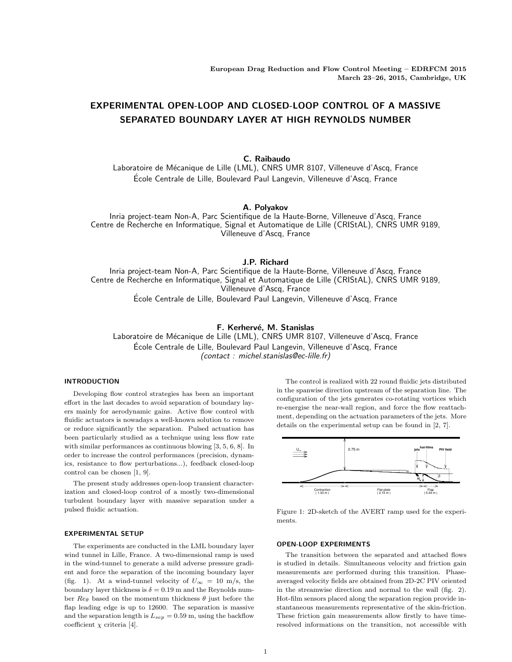# EXPERIMENTAL OPEN-LOOP AND CLOSED-LOOP CONTROL OF A MASSIVE SEPARATED BOUNDARY LAYER AT HIGH REYNOLDS NUMBER

C. Raibaudo

Laboratoire de Mécanique de Lille (LML), CNRS UMR 8107, Villeneuve d'Ascq, France Ecole Centrale de Lille, Boulevard Paul Langevin, Villeneuve d'Ascq, France ´

## A. Polyakov

Inria project-team Non-A, Parc Scientifique de la Haute-Borne, Villeneuve d'Ascq, France Centre de Recherche en Informatique, Signal et Automatique de Lille (CRIStAL), CNRS UMR 9189, Villeneuve d'Ascq, France

## J.P. Richard

Inria project-team Non-A, Parc Scientifique de la Haute-Borne, Villeneuve d'Ascq, France Centre de Recherche en Informatique, Signal et Automatique de Lille (CRIStAL), CNRS UMR 9189, Villeneuve d'Ascq, France Ecole Centrale de Lille, Boulevard Paul Langevin, Villeneuve d'Ascq, France ´

## F. Kerhervé, M. Stanislas

Laboratoire de Mécanique de Lille (LML), CNRS UMR 8107, Villeneuve d'Ascq, France Ecole Centrale de Lille, Boulevard Paul Langevin, Villeneuve d'Ascq, France ´ (contact : michel.stanislas@ec-lille.fr)

## INTRODUCTION

Developing flow control strategies has been an important effort in the last decades to avoid separation of boundary layers mainly for aerodynamic gains. Active flow control with fluidic actuators is nowadays a well-known solution to remove or reduce significantly the separation. Pulsed actuation has been particularly studied as a technique using less flow rate with similar performances as continuous blowing [3, 5, 6, 8]. In order to increase the control performances (precision, dynamics, resistance to flow perturbations...), feedback closed-loop control can be chosen [1, 9].

The present study addresses open-loop transient characterization and closed-loop control of a mostly two-dimensional turbulent boundary layer with massive separation under a pulsed fluidic actuation.

## EXPERIMENTAL SETUP

The experiments are conducted in the LML boundary layer wind tunnel in Lille, France. A two-dimensional ramp is used in the wind-tunnel to generate a mild adverse pressure gradient and force the separation of the incoming boundary layer (fig. 1). At a wind-tunnel velocity of  $U_{\infty} = 10$  m/s, the boundary layer thickness is  $\delta = 0.19$  m and the Reynolds number  $\text{Re}_{\theta}$  based on the momentum thickness  $\theta$  just before the flap leading edge is up to 12600. The separation is massive and the separation length is  $L_{sep} = 0.59$  m, using the backflow coefficient  $\chi$  criteria [4].

The control is realized with 22 round fluidic jets distributed in the spanwise direction upstream of the separation line. The configuration of the jets generates co-rotating vortices which re-energise the near-wall region, and force the flow reattachment, depending on the actuation parameters of the jets. More details on the experimental setup can be found in [2, 7].



Figure 1: 2D-sketch of the AVERT ramp used for the experiments.

#### OPEN-LOOP EXPERIMENTS

The transition between the separated and attached flows is studied in details. Simultaneous velocity and friction gain measurements are performed during this transition. Phaseaveraged velocity fields are obtained from 2D-2C PIV oriented in the streamwise direction and normal to the wall (fig. 2). Hot-film sensors placed along the separation region provide instantaneous measurements representative of the skin-friction. These friction gain measurements allow firstly to have timeresolved informations on the transition, not accessible with